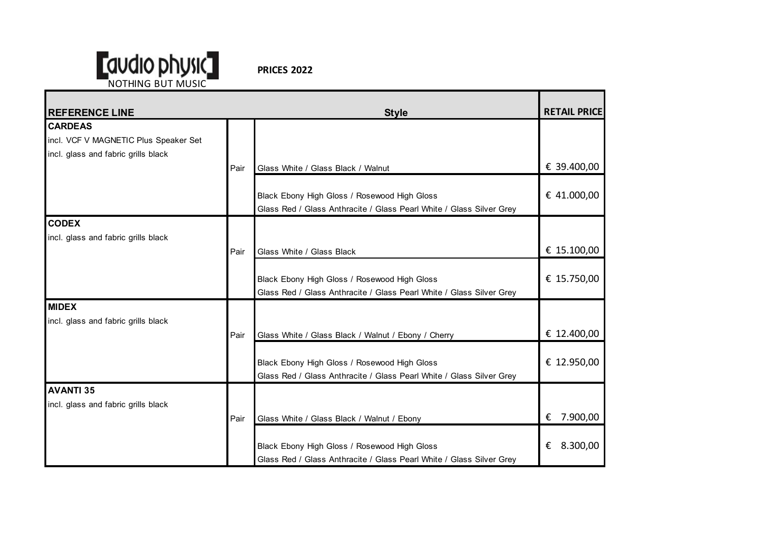

**PRICES 2022**

| <b>REFERENCE LINE</b>                 |      | <b>Style</b>                                                         | <b>RETAIL PRICE</b> |
|---------------------------------------|------|----------------------------------------------------------------------|---------------------|
| <b>CARDEAS</b>                        |      |                                                                      |                     |
| incl. VCF V MAGNETIC Plus Speaker Set |      |                                                                      |                     |
| incl. glass and fabric grills black   |      |                                                                      |                     |
|                                       | Pair | Glass White / Glass Black / Walnut                                   | € 39.400,00         |
|                                       |      |                                                                      |                     |
|                                       |      | Black Ebony High Gloss / Rosewood High Gloss                         | € 41.000,00         |
|                                       |      | Glass Red / Glass Anthracite / Glass Pearl White / Glass Silver Grey |                     |
| <b>CODEX</b>                          |      |                                                                      |                     |
| incl. glass and fabric grills black   |      |                                                                      |                     |
|                                       | Pair | Glass White / Glass Black                                            | € 15.100,00         |
|                                       |      |                                                                      |                     |
|                                       |      | Black Ebony High Gloss / Rosewood High Gloss                         | € 15.750,00         |
|                                       |      | Glass Red / Glass Anthracite / Glass Pearl White / Glass Silver Grey |                     |
| <b>MIDEX</b>                          |      |                                                                      |                     |
| incl. glass and fabric grills black   |      |                                                                      |                     |
|                                       | Pair | Glass White / Glass Black / Walnut / Ebony / Cherry                  | € 12.400,00         |
|                                       |      |                                                                      |                     |
|                                       |      | Black Ebony High Gloss / Rosewood High Gloss                         | € 12.950,00         |
|                                       |      | Glass Red / Glass Anthracite / Glass Pearl White / Glass Silver Grey |                     |
| <b>AVANTI 35</b>                      |      |                                                                      |                     |
| incl. glass and fabric grills black   |      |                                                                      |                     |
|                                       | Pair | Glass White / Glass Black / Walnut / Ebony                           | 7.900,00<br>€       |
|                                       |      |                                                                      |                     |
|                                       |      | Black Ebony High Gloss / Rosewood High Gloss                         | 8.300,00<br>€       |
|                                       |      | Glass Red / Glass Anthracite / Glass Pearl White / Glass Silver Grey |                     |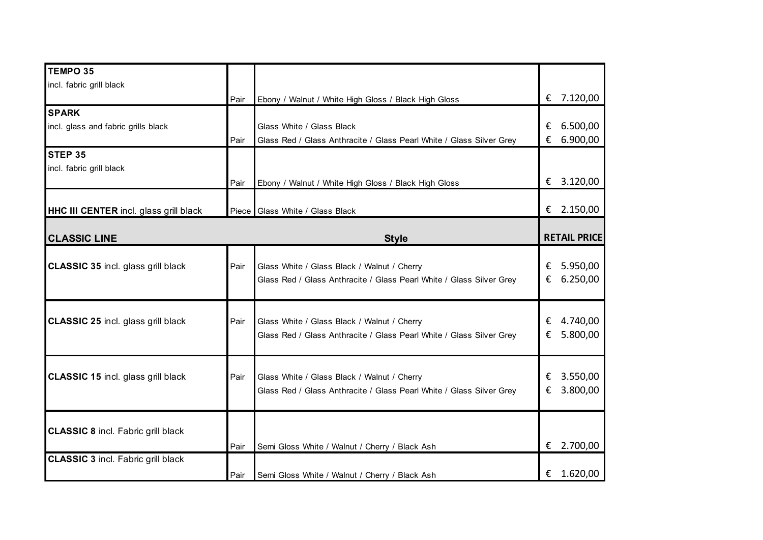| <b>TEMPO 35</b>                               |      |                                                                      |   |                     |
|-----------------------------------------------|------|----------------------------------------------------------------------|---|---------------------|
| incl. fabric grill black                      |      |                                                                      |   |                     |
|                                               | Pair | Ebony / Walnut / White High Gloss / Black High Gloss                 |   | € 7.120,00          |
| <b>SPARK</b>                                  |      |                                                                      |   |                     |
| incl. glass and fabric grills black           |      | Glass White / Glass Black                                            | € | 6.500,00            |
|                                               | Pair | Glass Red / Glass Anthracite / Glass Pearl White / Glass Silver Grey | € | 6.900,00            |
| STEP 35                                       |      |                                                                      |   |                     |
| incl. fabric grill black                      |      |                                                                      |   |                     |
|                                               | Pair | Ebony / Walnut / White High Gloss / Black High Gloss                 |   | € 3.120,00          |
|                                               |      |                                                                      |   |                     |
| <b>HHC III CENTER</b> incl. glass grill black |      | Piece Glass White / Glass Black                                      |   | € 2.150,00          |
|                                               |      |                                                                      |   |                     |
| <b>CLASSIC LINE</b>                           |      | <b>Style</b>                                                         |   | <b>RETAIL PRICE</b> |
|                                               |      |                                                                      |   |                     |
| <b>CLASSIC 35 incl. glass grill black</b>     | Pair | Glass White / Glass Black / Walnut / Cherry                          | € | 5.950,00            |
|                                               |      | Glass Red / Glass Anthracite / Glass Pearl White / Glass Silver Grey | € | 6.250,00            |
|                                               |      |                                                                      |   |                     |
|                                               |      |                                                                      |   |                     |
| <b>CLASSIC 25 incl. glass grill black</b>     | Pair | Glass White / Glass Black / Walnut / Cherry                          | € | 4.740,00            |
|                                               |      | Glass Red / Glass Anthracite / Glass Pearl White / Glass Silver Grey | € | 5.800,00            |
|                                               |      |                                                                      |   |                     |
|                                               |      |                                                                      |   |                     |
| <b>CLASSIC 15 incl. glass grill black</b>     | Pair | Glass White / Glass Black / Walnut / Cherry                          | € | 3.550,00            |
|                                               |      | Glass Red / Glass Anthracite / Glass Pearl White / Glass Silver Grey | € | 3.800,00            |
|                                               |      |                                                                      |   |                     |
| <b>CLASSIC 8 incl. Fabric grill black</b>     |      |                                                                      |   |                     |
|                                               | Pair |                                                                      | € | 2.700,00            |
| <b>CLASSIC 3 incl. Fabric grill black</b>     |      | Semi Gloss White / Walnut / Cherry / Black Ash                       |   |                     |
|                                               |      |                                                                      | € | 1.620,00            |
|                                               | Pair | Semi Gloss White / Walnut / Cherry / Black Ash                       |   |                     |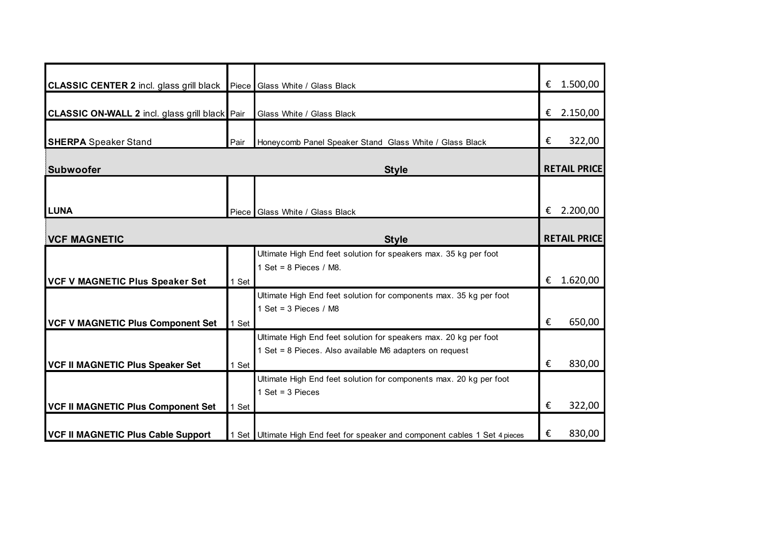| <b>CLASSIC CENTER 2</b> incl. glass grill black Piece Glass White / Glass Black |       |                                                                              | € | 1.500,00            |
|---------------------------------------------------------------------------------|-------|------------------------------------------------------------------------------|---|---------------------|
| <b>CLASSIC ON-WALL 2 incl. glass grill black</b> Pair                           |       | Glass White / Glass Black                                                    | € | 2.150,00            |
| <b>SHERPA</b> Speaker Stand                                                     | Pair  | Honeycomb Panel Speaker Stand Glass White / Glass Black                      | € | 322,00              |
| <b>Subwoofer</b>                                                                |       | <b>Style</b>                                                                 |   | <b>RETAIL PRICE</b> |
|                                                                                 |       |                                                                              |   |                     |
| <b>LUNA</b>                                                                     |       | Piece Glass White / Glass Black                                              | € | 2.200,00            |
| <b>VCF MAGNETIC</b><br><b>Style</b>                                             |       |                                                                              |   | <b>RETAIL PRICE</b> |
|                                                                                 |       | Ultimate High End feet solution for speakers max. 35 kg per foot             |   |                     |
|                                                                                 |       | 1 Set = $8$ Pieces / M8.                                                     |   |                     |
| <b>VCF V MAGNETIC Plus Speaker Set</b>                                          | 1 Set |                                                                              | € | 1.620,00            |
|                                                                                 |       | Ultimate High End feet solution for components max. 35 kg per foot           |   |                     |
|                                                                                 |       | 1 Set = $3$ Pieces / M8                                                      | € | 650,00              |
| <b>VCF V MAGNETIC Plus Component Set</b>                                        | 1 Set | Ultimate High End feet solution for speakers max. 20 kg per foot             |   |                     |
|                                                                                 |       | 1 Set = 8 Pieces. Also available M6 adapters on request                      |   |                     |
| <b>VCF II MAGNETIC Plus Speaker Set</b>                                         | 1 Set |                                                                              | € | 830,00              |
|                                                                                 |       | Ultimate High End feet solution for components max. 20 kg per foot           |   |                     |
|                                                                                 |       | 1 Set = $3$ Pieces                                                           |   |                     |
| <b>VCF II MAGNETIC Plus Component Set</b>                                       | 1 Set |                                                                              | € | 322,00              |
| <b>VCF II MAGNETIC Plus Cable Support</b>                                       |       | 1 Set Ultimate High End feet for speaker and component cables 1 Set 4 pieces | € | 830,00              |